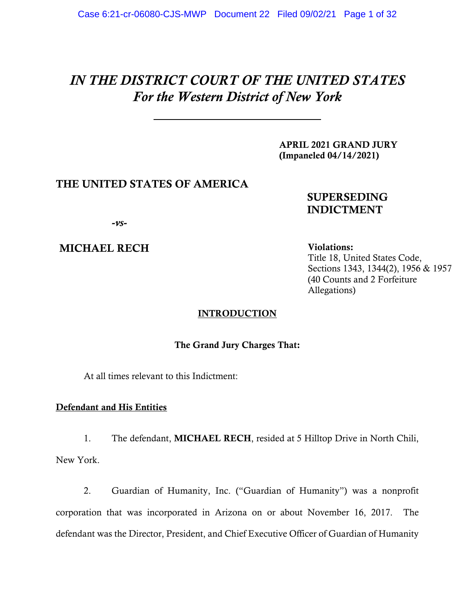# *IN THE DISTRICT COURT OF THE UNITED STATES For the Western District of New York*

APRIL 2021 GRAND JURY (Impaneled 04/14/2021)

# THE UNITED STATES OF AMERICA

# SUPERSEDING INDICTMENT

*-vs-*

MICHAEL RECH

Violations: Title 18, United States Code, Sections 1343, 1344(2), 1956 & 1957 (40 Counts and 2 Forfeiture Allegations)

### **INTRODUCTION**

The Grand Jury Charges That:

At all times relevant to this Indictment:

# Defendant and His Entities

1. The defendant, MICHAEL RECH, resided at 5 Hilltop Drive in North Chili, New York.

2. Guardian of Humanity, Inc. ("Guardian of Humanity") was a nonprofit corporation that was incorporated in Arizona on or about November 16, 2017. The defendant was the Director, President, and Chief Executive Officer of Guardian of Humanity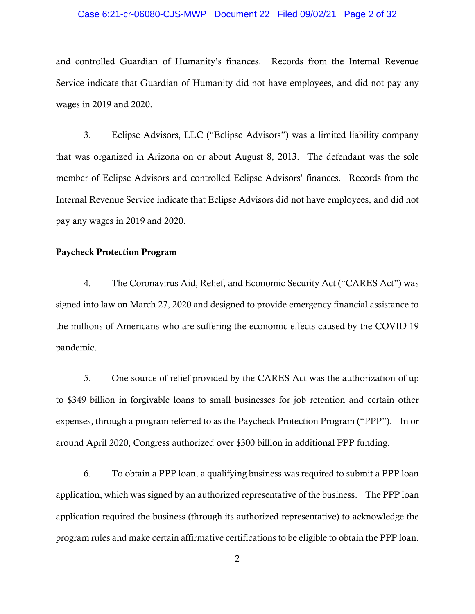# Case 6:21-cr-06080-CJS-MWP Document 22 Filed 09/02/21 Page 2 of 32

and controlled Guardian of Humanity's finances. Records from the Internal Revenue Service indicate that Guardian of Humanity did not have employees, and did not pay any wages in 2019 and 2020.

3. Eclipse Advisors, LLC ("Eclipse Advisors") was a limited liability company that was organized in Arizona on or about August 8, 2013. The defendant was the sole member of Eclipse Advisors and controlled Eclipse Advisors' finances. Records from the Internal Revenue Service indicate that Eclipse Advisors did not have employees, and did not pay any wages in 2019 and 2020.

#### Paycheck Protection Program

4. The Coronavirus Aid, Relief, and Economic Security Act ("CARES Act") was signed into law on March 27, 2020 and designed to provide emergency financial assistance to the millions of Americans who are suffering the economic effects caused by the COVID-19 pandemic.

5. One source of relief provided by the CARES Act was the authorization of up to \$349 billion in forgivable loans to small businesses for job retention and certain other expenses, through a program referred to as the Paycheck Protection Program ("PPP"). In or around April 2020, Congress authorized over \$300 billion in additional PPP funding.

6. To obtain a PPP loan, a qualifying business was required to submit a PPP loan application, which was signed by an authorized representative of the business. The PPP loan application required the business (through its authorized representative) to acknowledge the program rules and make certain affirmative certifications to be eligible to obtain the PPP loan.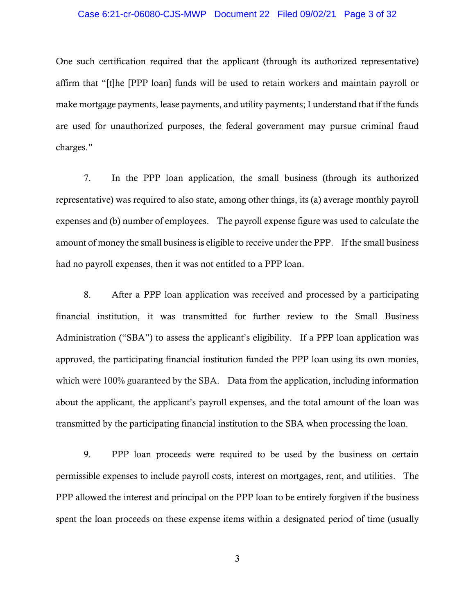#### Case 6:21-cr-06080-CJS-MWP Document 22 Filed 09/02/21 Page 3 of 32

One such certification required that the applicant (through its authorized representative) affirm that "[t]he [PPP loan] funds will be used to retain workers and maintain payroll or make mortgage payments, lease payments, and utility payments; I understand that if the funds are used for unauthorized purposes, the federal government may pursue criminal fraud charges."

7. In the PPP loan application, the small business (through its authorized representative) was required to also state, among other things, its (a) average monthly payroll expenses and (b) number of employees. The payroll expense figure was used to calculate the amount of money the small business is eligible to receive under the PPP. If the small business had no payroll expenses, then it was not entitled to a PPP loan.

8. After a PPP loan application was received and processed by a participating financial institution, it was transmitted for further review to the Small Business Administration ("SBA") to assess the applicant's eligibility. If a PPP loan application was approved, the participating financial institution funded the PPP loan using its own monies, which were 100% guaranteed by the SBA. Data from the application, including information about the applicant, the applicant's payroll expenses, and the total amount of the loan was transmitted by the participating financial institution to the SBA when processing the loan.

9. PPP loan proceeds were required to be used by the business on certain permissible expenses to include payroll costs, interest on mortgages, rent, and utilities. The PPP allowed the interest and principal on the PPP loan to be entirely forgiven if the business spent the loan proceeds on these expense items within a designated period of time (usually

3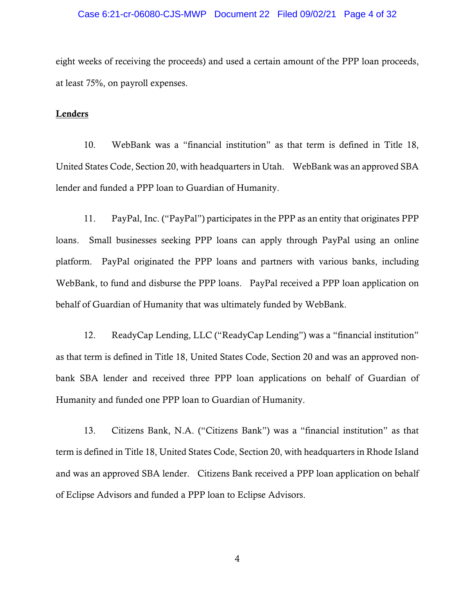#### Case 6:21-cr-06080-CJS-MWP Document 22 Filed 09/02/21 Page 4 of 32

eight weeks of receiving the proceeds) and used a certain amount of the PPP loan proceeds, at least 75%, on payroll expenses.

#### **Lenders**

10. WebBank was a "financial institution" as that term is defined in Title 18, United States Code, Section 20, with headquarters in Utah. WebBank was an approved SBA lender and funded a PPP loan to Guardian of Humanity.

11. PayPal, Inc. ("PayPal") participates in the PPP as an entity that originates PPP loans. Small businesses seeking PPP loans can apply through PayPal using an online platform. PayPal originated the PPP loans and partners with various banks, including WebBank, to fund and disburse the PPP loans. PayPal received a PPP loan application on behalf of Guardian of Humanity that was ultimately funded by WebBank.

12. ReadyCap Lending, LLC ("ReadyCap Lending") was a "financial institution" as that term is defined in Title 18, United States Code, Section 20 and was an approved nonbank SBA lender and received three PPP loan applications on behalf of Guardian of Humanity and funded one PPP loan to Guardian of Humanity.

13. Citizens Bank, N.A. ("Citizens Bank") was a "financial institution" as that term is defined in Title 18, United States Code, Section 20, with headquarters in Rhode Island and was an approved SBA lender. Citizens Bank received a PPP loan application on behalf of Eclipse Advisors and funded a PPP loan to Eclipse Advisors.

4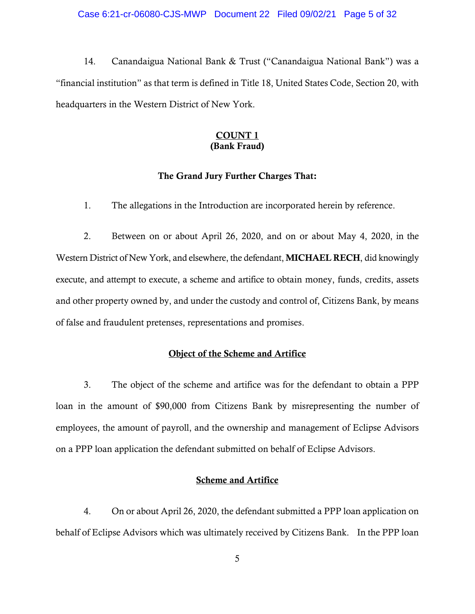14. Canandaigua National Bank & Trust ("Canandaigua National Bank") was a "financial institution" as that term is defined in Title 18, United States Code, Section 20, with headquarters in the Western District of New York.

### COUNT 1 (Bank Fraud)

### The Grand Jury Further Charges That:

1. The allegations in the Introduction are incorporated herein by reference.

2. Between on or about April 26, 2020, and on or about May 4, 2020, in the Western District of New York, and elsewhere, the defendant, MICHAEL RECH, did knowingly execute, and attempt to execute, a scheme and artifice to obtain money, funds, credits, assets and other property owned by, and under the custody and control of, Citizens Bank, by means of false and fraudulent pretenses, representations and promises.

# Object of the Scheme and Artifice

3. The object of the scheme and artifice was for the defendant to obtain a PPP loan in the amount of \$90,000 from Citizens Bank by misrepresenting the number of employees, the amount of payroll, and the ownership and management of Eclipse Advisors on a PPP loan application the defendant submitted on behalf of Eclipse Advisors.

### Scheme and Artifice

4. On or about April 26, 2020, the defendant submitted a PPP loan application on behalf of Eclipse Advisors which was ultimately received by Citizens Bank. In the PPP loan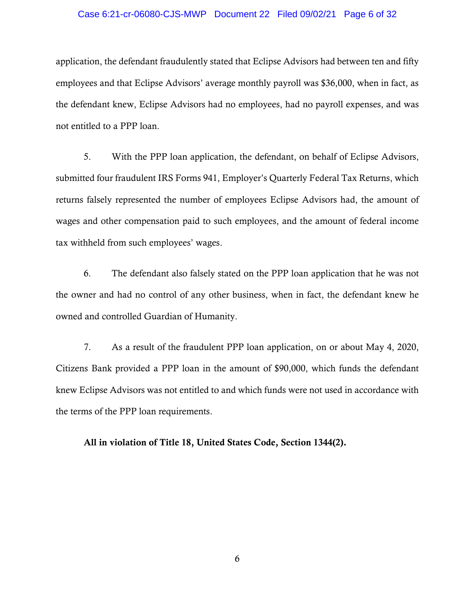# Case 6:21-cr-06080-CJS-MWP Document 22 Filed 09/02/21 Page 6 of 32

application, the defendant fraudulently stated that Eclipse Advisors had between ten and fifty employees and that Eclipse Advisors' average monthly payroll was \$36,000, when in fact, as the defendant knew, Eclipse Advisors had no employees, had no payroll expenses, and was not entitled to a PPP loan.

5. With the PPP loan application, the defendant, on behalf of Eclipse Advisors, submitted four fraudulent IRS Forms 941, Employer's Quarterly Federal Tax Returns, which returns falsely represented the number of employees Eclipse Advisors had, the amount of wages and other compensation paid to such employees, and the amount of federal income tax withheld from such employees' wages.

6. The defendant also falsely stated on the PPP loan application that he was not the owner and had no control of any other business, when in fact, the defendant knew he owned and controlled Guardian of Humanity.

7. As a result of the fraudulent PPP loan application, on or about May 4, 2020, Citizens Bank provided a PPP loan in the amount of \$90,000, which funds the defendant knew Eclipse Advisors was not entitled to and which funds were not used in accordance with the terms of the PPP loan requirements.

All in violation of Title 18, United States Code, Section 1344(2).

6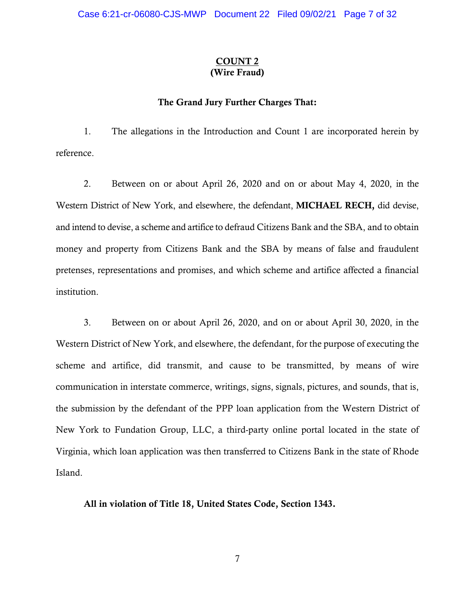### COUNT 2 (Wire Fraud)

### The Grand Jury Further Charges That:

1. The allegations in the Introduction and Count 1 are incorporated herein by reference.

2. Between on or about April 26, 2020 and on or about May 4, 2020, in the Western District of New York, and elsewhere, the defendant, MICHAEL RECH, did devise, and intend to devise, a scheme and artifice to defraud Citizens Bank and the SBA, and to obtain money and property from Citizens Bank and the SBA by means of false and fraudulent pretenses, representations and promises, and which scheme and artifice affected a financial institution.

3. Between on or about April 26, 2020, and on or about April 30, 2020, in the Western District of New York, and elsewhere, the defendant, for the purpose of executing the scheme and artifice, did transmit, and cause to be transmitted, by means of wire communication in interstate commerce, writings, signs, signals, pictures, and sounds, that is, the submission by the defendant of the PPP loan application from the Western District of New York to Fundation Group, LLC, a third-party online portal located in the state of Virginia, which loan application was then transferred to Citizens Bank in the state of Rhode Island.

All in violation of Title 18, United States Code, Section 1343.

7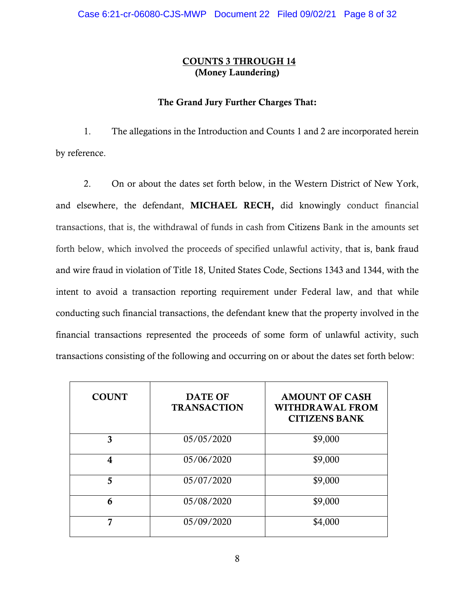# COUNTS 3 THROUGH 14 (Money Laundering)

# The Grand Jury Further Charges That:

1. The allegations in the Introduction and Counts 1 and 2 are incorporated herein by reference.

2. On or about the dates set forth below, in the Western District of New York, and elsewhere, the defendant, MICHAEL RECH, did knowingly conduct financial transactions, that is, the withdrawal of funds in cash from Citizens Bank in the amounts set forth below, which involved the proceeds of specified unlawful activity, that is, bank fraud and wire fraud in violation of Title 18, United States Code, Sections 1343 and 1344, with the intent to avoid a transaction reporting requirement under Federal law, and that while conducting such financial transactions, the defendant knew that the property involved in the financial transactions represented the proceeds of some form of unlawful activity, such transactions consisting of the following and occurring on or about the dates set forth below:

| <b>COUNT</b> | <b>DATE OF</b><br><b>TRANSACTION</b> | <b>AMOUNT OF CASH</b><br><b>WITHDRAWAL FROM</b><br><b>CITIZENS BANK</b> |
|--------------|--------------------------------------|-------------------------------------------------------------------------|
| 3            | 05/05/2020                           | \$9,000                                                                 |
| 4            | 05/06/2020                           | \$9,000                                                                 |
| 5            | 05/07/2020                           | \$9,000                                                                 |
| 6            | 05/08/2020                           | \$9,000                                                                 |
| 7            | 05/09/2020                           | \$4,000                                                                 |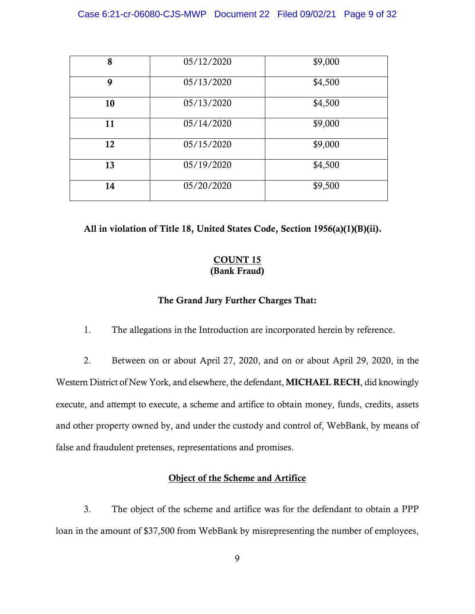| 8  | 05/12/2020 | \$9,000 |
|----|------------|---------|
| 9  | 05/13/2020 | \$4,500 |
| 10 | 05/13/2020 | \$4,500 |
| 11 | 05/14/2020 | \$9,000 |
| 12 | 05/15/2020 | \$9,000 |
| 13 | 05/19/2020 | \$4,500 |
| 14 | 05/20/2020 | \$9,500 |

All in violation of Title 18, United States Code, Section 1956(a)(1)(B)(ii).

# COUNT 15 (Bank Fraud)

### The Grand Jury Further Charges That:

1. The allegations in the Introduction are incorporated herein by reference.

2. Between on or about April 27, 2020, and on or about April 29, 2020, in the Western District of New York, and elsewhere, the defendant, MICHAEL RECH, did knowingly execute, and attempt to execute, a scheme and artifice to obtain money, funds, credits, assets and other property owned by, and under the custody and control of, WebBank, by means of false and fraudulent pretenses, representations and promises.

# Object of the Scheme and Artifice

3. The object of the scheme and artifice was for the defendant to obtain a PPP loan in the amount of \$37,500 from WebBank by misrepresenting the number of employees,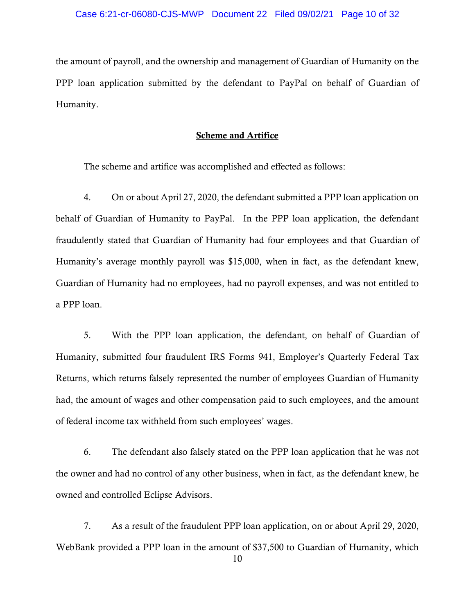the amount of payroll, and the ownership and management of Guardian of Humanity on the PPP loan application submitted by the defendant to PayPal on behalf of Guardian of Humanity.

### Scheme and Artifice

The scheme and artifice was accomplished and effected as follows:

4. On or about April 27, 2020, the defendant submitted a PPP loan application on behalf of Guardian of Humanity to PayPal. In the PPP loan application, the defendant fraudulently stated that Guardian of Humanity had four employees and that Guardian of Humanity's average monthly payroll was \$15,000, when in fact, as the defendant knew, Guardian of Humanity had no employees, had no payroll expenses, and was not entitled to a PPP loan.

5. With the PPP loan application, the defendant, on behalf of Guardian of Humanity, submitted four fraudulent IRS Forms 941, Employer's Quarterly Federal Tax Returns, which returns falsely represented the number of employees Guardian of Humanity had, the amount of wages and other compensation paid to such employees, and the amount of federal income tax withheld from such employees' wages.

6. The defendant also falsely stated on the PPP loan application that he was not the owner and had no control of any other business, when in fact, as the defendant knew, he owned and controlled Eclipse Advisors.

7. As a result of the fraudulent PPP loan application, on or about April 29, 2020, WebBank provided a PPP loan in the amount of \$37,500 to Guardian of Humanity, which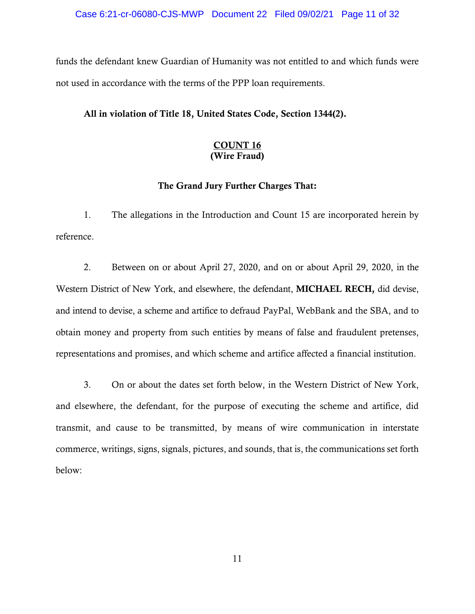funds the defendant knew Guardian of Humanity was not entitled to and which funds were not used in accordance with the terms of the PPP loan requirements.

# All in violation of Title 18, United States Code, Section 1344(2).

# COUNT 16 (Wire Fraud)

# The Grand Jury Further Charges That:

1. The allegations in the Introduction and Count 15 are incorporated herein by reference.

2. Between on or about April 27, 2020, and on or about April 29, 2020, in the Western District of New York, and elsewhere, the defendant, MICHAEL RECH, did devise, and intend to devise, a scheme and artifice to defraud PayPal, WebBank and the SBA, and to obtain money and property from such entities by means of false and fraudulent pretenses, representations and promises, and which scheme and artifice affected a financial institution.

3. On or about the dates set forth below, in the Western District of New York, and elsewhere, the defendant, for the purpose of executing the scheme and artifice, did transmit, and cause to be transmitted, by means of wire communication in interstate commerce, writings, signs, signals, pictures, and sounds, that is, the communications set forth below: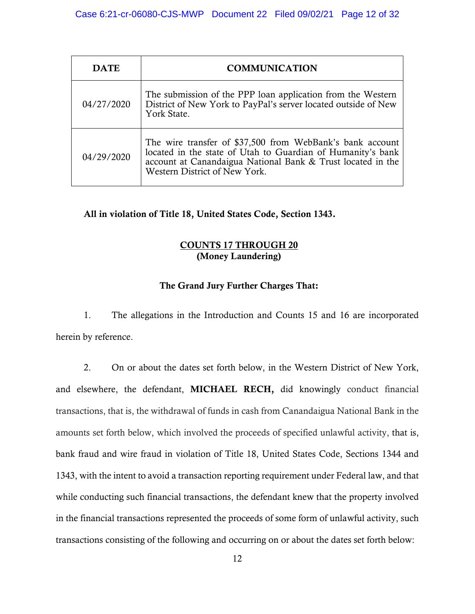| <b>DATE</b> | <b>COMMUNICATION</b>                                                                                                                                                                                                     |  |
|-------------|--------------------------------------------------------------------------------------------------------------------------------------------------------------------------------------------------------------------------|--|
| 04/27/2020  | The submission of the PPP loan application from the Western<br>District of New York to PayPal's server located outside of New<br>York State.                                                                             |  |
| 04/29/2020  | The wire transfer of \$37,500 from WebBank's bank account<br>located in the state of Utah to Guardian of Humanity's bank<br>account at Canandaigua National Bank & Trust located in the<br>Western District of New York. |  |

All in violation of Title 18, United States Code, Section 1343.

# COUNTS 17 THROUGH 20 (Money Laundering)

# The Grand Jury Further Charges That:

1. The allegations in the Introduction and Counts 15 and 16 are incorporated herein by reference.

2. On or about the dates set forth below, in the Western District of New York, and elsewhere, the defendant, MICHAEL RECH, did knowingly conduct financial transactions, that is, the withdrawal of funds in cash from Canandaigua National Bank in the amounts set forth below, which involved the proceeds of specified unlawful activity, that is, bank fraud and wire fraud in violation of Title 18, United States Code, Sections 1344 and 1343, with the intent to avoid a transaction reporting requirement under Federal law, and that while conducting such financial transactions, the defendant knew that the property involved in the financial transactions represented the proceeds of some form of unlawful activity, such transactions consisting of the following and occurring on or about the dates set forth below: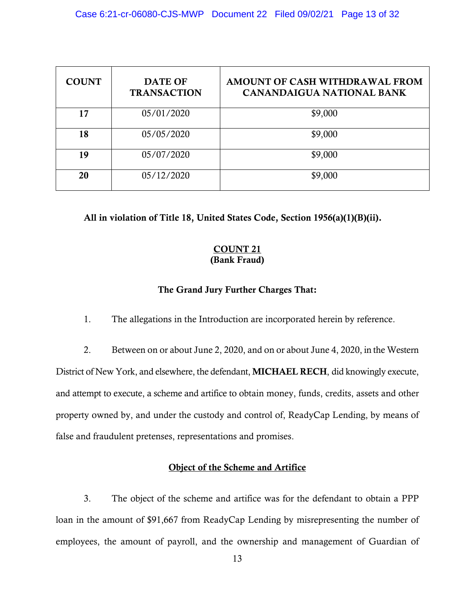| <b>COUNT</b> | <b>DATE OF</b><br><b>TRANSACTION</b> | AMOUNT OF CASH WITHDRAWAL FROM<br><b>CANANDAIGUA NATIONAL BANK</b> |
|--------------|--------------------------------------|--------------------------------------------------------------------|
| 17           | 05/01/2020                           | \$9,000                                                            |
| 18           | 05/05/2020                           | \$9,000                                                            |
| 19           | 05/07/2020                           | \$9,000                                                            |
| 20           | 05/12/2020                           | \$9,000                                                            |

# All in violation of Title 18, United States Code, Section 1956(a)(1)(B)(ii).

# COUNT 21 (Bank Fraud)

# The Grand Jury Further Charges That:

1. The allegations in the Introduction are incorporated herein by reference.

2. Between on or about June 2, 2020, and on or about June 4, 2020, in the Western District of New York, and elsewhere, the defendant, MICHAEL RECH, did knowingly execute, and attempt to execute, a scheme and artifice to obtain money, funds, credits, assets and other property owned by, and under the custody and control of, ReadyCap Lending, by means of false and fraudulent pretenses, representations and promises.

### Object of the Scheme and Artifice

3. The object of the scheme and artifice was for the defendant to obtain a PPP loan in the amount of \$91,667 from ReadyCap Lending by misrepresenting the number of employees, the amount of payroll, and the ownership and management of Guardian of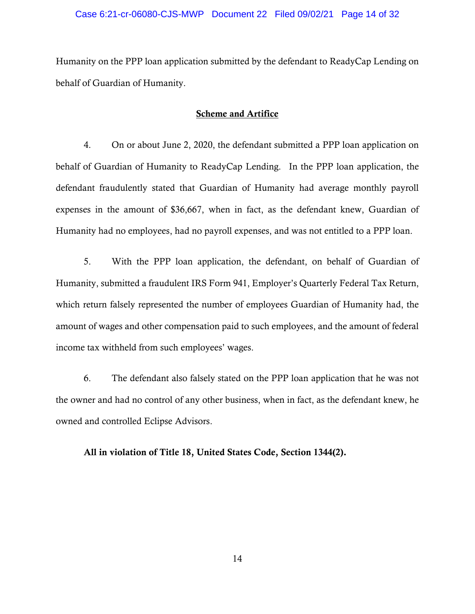Humanity on the PPP loan application submitted by the defendant to ReadyCap Lending on behalf of Guardian of Humanity.

# Scheme and Artifice

4. On or about June 2, 2020, the defendant submitted a PPP loan application on behalf of Guardian of Humanity to ReadyCap Lending. In the PPP loan application, the defendant fraudulently stated that Guardian of Humanity had average monthly payroll expenses in the amount of \$36,667, when in fact, as the defendant knew, Guardian of Humanity had no employees, had no payroll expenses, and was not entitled to a PPP loan.

5. With the PPP loan application, the defendant, on behalf of Guardian of Humanity, submitted a fraudulent IRS Form 941, Employer's Quarterly Federal Tax Return, which return falsely represented the number of employees Guardian of Humanity had, the amount of wages and other compensation paid to such employees, and the amount of federal income tax withheld from such employees' wages.

6. The defendant also falsely stated on the PPP loan application that he was not the owner and had no control of any other business, when in fact, as the defendant knew, he owned and controlled Eclipse Advisors.

All in violation of Title 18, United States Code, Section 1344(2).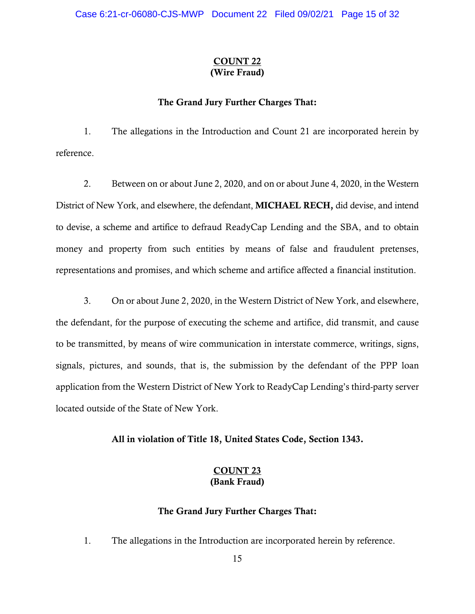# COUNT 22 (Wire Fraud)

### The Grand Jury Further Charges That:

1. The allegations in the Introduction and Count 21 are incorporated herein by reference.

2. Between on or about June 2, 2020, and on or about June 4, 2020, in the Western District of New York, and elsewhere, the defendant, MICHAEL RECH, did devise, and intend to devise, a scheme and artifice to defraud ReadyCap Lending and the SBA, and to obtain money and property from such entities by means of false and fraudulent pretenses, representations and promises, and which scheme and artifice affected a financial institution.

3. On or about June 2, 2020, in the Western District of New York, and elsewhere, the defendant, for the purpose of executing the scheme and artifice, did transmit, and cause to be transmitted, by means of wire communication in interstate commerce, writings, signs, signals, pictures, and sounds, that is, the submission by the defendant of the PPP loan application from the Western District of New York to ReadyCap Lending's third-party server located outside of the State of New York.

All in violation of Title 18, United States Code, Section 1343.

# COUNT 23 (Bank Fraud)

# The Grand Jury Further Charges That:

1. The allegations in the Introduction are incorporated herein by reference.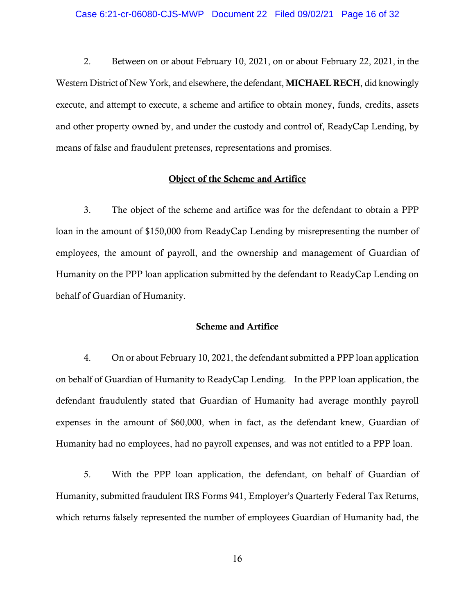2. Between on or about February 10, 2021, on or about February 22, 2021, in the Western District of New York, and elsewhere, the defendant, MICHAEL RECH, did knowingly execute, and attempt to execute, a scheme and artifice to obtain money, funds, credits, assets and other property owned by, and under the custody and control of, ReadyCap Lending, by means of false and fraudulent pretenses, representations and promises.

# Object of the Scheme and Artifice

3. The object of the scheme and artifice was for the defendant to obtain a PPP loan in the amount of \$150,000 from ReadyCap Lending by misrepresenting the number of employees, the amount of payroll, and the ownership and management of Guardian of Humanity on the PPP loan application submitted by the defendant to ReadyCap Lending on behalf of Guardian of Humanity.

### Scheme and Artifice

4. On or about February 10, 2021, the defendant submitted a PPP loan application on behalf of Guardian of Humanity to ReadyCap Lending. In the PPP loan application, the defendant fraudulently stated that Guardian of Humanity had average monthly payroll expenses in the amount of \$60,000, when in fact, as the defendant knew, Guardian of Humanity had no employees, had no payroll expenses, and was not entitled to a PPP loan.

5. With the PPP loan application, the defendant, on behalf of Guardian of Humanity, submitted fraudulent IRS Forms 941, Employer's Quarterly Federal Tax Returns, which returns falsely represented the number of employees Guardian of Humanity had, the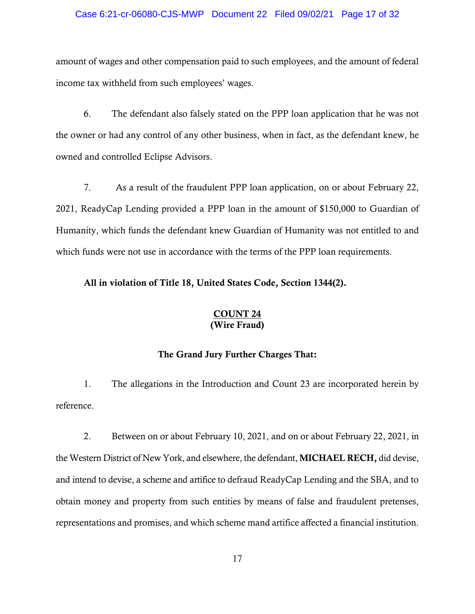#### Case 6:21-cr-06080-CJS-MWP Document 22 Filed 09/02/21 Page 17 of 32

amount of wages and other compensation paid to such employees, and the amount of federal income tax withheld from such employees' wages.

6. The defendant also falsely stated on the PPP loan application that he was not the owner or had any control of any other business, when in fact, as the defendant knew, he owned and controlled Eclipse Advisors.

7. As a result of the fraudulent PPP loan application, on or about February 22, 2021, ReadyCap Lending provided a PPP loan in the amount of \$150,000 to Guardian of Humanity, which funds the defendant knew Guardian of Humanity was not entitled to and which funds were not use in accordance with the terms of the PPP loan requirements.

# All in violation of Title 18, United States Code, Section 1344(2).

#### COUNT 24 (Wire Fraud)

#### The Grand Jury Further Charges That:

1. The allegations in the Introduction and Count 23 are incorporated herein by reference.

2. Between on or about February 10, 2021, and on or about February 22, 2021, in the Western District of New York, and elsewhere, the defendant, MICHAEL RECH, did devise, and intend to devise, a scheme and artifice to defraud ReadyCap Lending and the SBA, and to obtain money and property from such entities by means of false and fraudulent pretenses, representations and promises, and which scheme mand artifice affected a financial institution.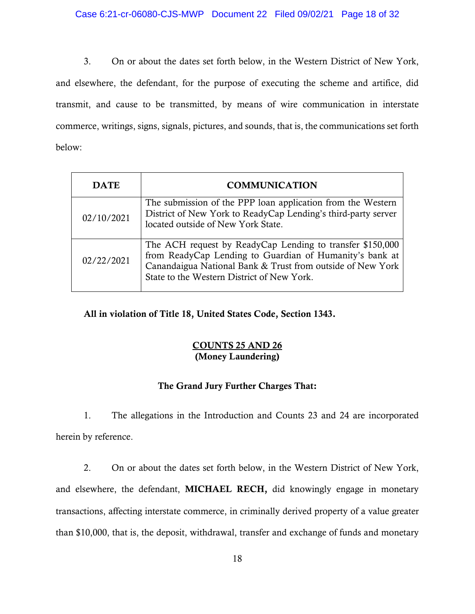3. On or about the dates set forth below, in the Western District of New York, and elsewhere, the defendant, for the purpose of executing the scheme and artifice, did transmit, and cause to be transmitted, by means of wire communication in interstate commerce, writings, signs, signals, pictures, and sounds, that is, the communications set forth below:

| <b>DATE</b> | <b>COMMUNICATION</b>                                                                                                                                                                                                             |  |
|-------------|----------------------------------------------------------------------------------------------------------------------------------------------------------------------------------------------------------------------------------|--|
| 02/10/2021  | The submission of the PPP loan application from the Western<br>District of New York to ReadyCap Lending's third-party server<br>located outside of New York State.                                                               |  |
| 02/22/2021  | The ACH request by ReadyCap Lending to transfer \$150,000<br>from ReadyCap Lending to Guardian of Humanity's bank at<br>Canandaigua National Bank & Trust from outside of New York<br>State to the Western District of New York. |  |

All in violation of Title 18, United States Code, Section 1343.

# COUNTS 25 AND 26 (Money Laundering)

# The Grand Jury Further Charges That:

1. The allegations in the Introduction and Counts 23 and 24 are incorporated herein by reference.

2. On or about the dates set forth below, in the Western District of New York, and elsewhere, the defendant, MICHAEL RECH, did knowingly engage in monetary transactions, affecting interstate commerce, in criminally derived property of a value greater than \$10,000, that is, the deposit, withdrawal, transfer and exchange of funds and monetary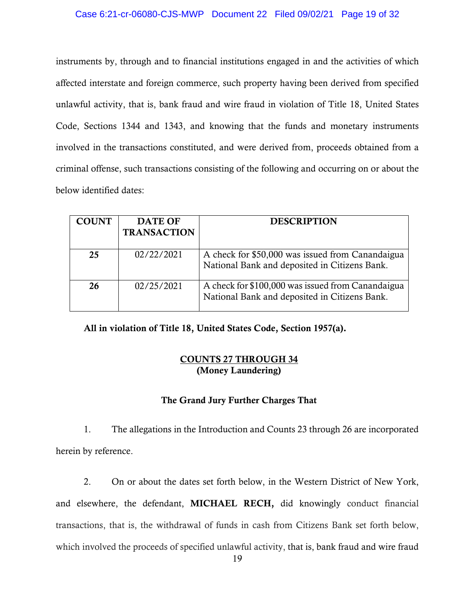#### Case 6:21-cr-06080-CJS-MWP Document 22 Filed 09/02/21 Page 19 of 32

instruments by, through and to financial institutions engaged in and the activities of which affected interstate and foreign commerce, such property having been derived from specified unlawful activity, that is, bank fraud and wire fraud in violation of Title 18, United States Code, Sections 1344 and 1343, and knowing that the funds and monetary instruments involved in the transactions constituted, and were derived from, proceeds obtained from a criminal offense, such transactions consisting of the following and occurring on or about the below identified dates:

| <b>COUNT</b> | <b>DATE OF</b><br><b>TRANSACTION</b> | <b>DESCRIPTION</b>                                                                                 |
|--------------|--------------------------------------|----------------------------------------------------------------------------------------------------|
| 25           | 02/22/2021                           | A check for \$50,000 was issued from Canandaigua<br>National Bank and deposited in Citizens Bank.  |
| 26           | 02/25/2021                           | A check for \$100,000 was issued from Canandaigua<br>National Bank and deposited in Citizens Bank. |

All in violation of Title 18, United States Code, Section 1957(a).

# COUNTS 27 THROUGH 34 (Money Laundering)

# The Grand Jury Further Charges That

1. The allegations in the Introduction and Counts 23 through 26 are incorporated herein by reference.

2. On or about the dates set forth below, in the Western District of New York, and elsewhere, the defendant, MICHAEL RECH, did knowingly conduct financial transactions, that is, the withdrawal of funds in cash from Citizens Bank set forth below, which involved the proceeds of specified unlawful activity, that is, bank fraud and wire fraud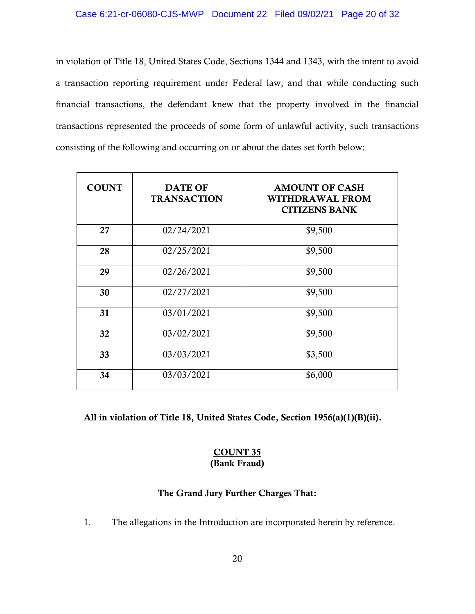in violation of Title 18, United States Code, Sections 1344 and 1343, with the intent to avoid a transaction reporting requirement under Federal law, and that while conducting such financial transactions, the defendant knew that the property involved in the financial transactions represented the proceeds of some form of unlawful activity, such transactions consisting of the following and occurring on or about the dates set forth below:

| <b>COUNT</b> | <b>DATE OF</b><br><b>TRANSACTION</b> | <b>AMOUNT OF CASH</b><br><b>WITHDRAWAL FROM</b><br><b>CITIZENS BANK</b> |
|--------------|--------------------------------------|-------------------------------------------------------------------------|
| 27           | 02/24/2021                           | \$9,500                                                                 |
| 28           | 02/25/2021                           | \$9,500                                                                 |
| 29           | 02/26/2021                           | \$9,500                                                                 |
| 30           | 02/27/2021                           | \$9,500                                                                 |
| 31           | 03/01/2021                           | \$9,500                                                                 |
| 32           | 03/02/2021                           | \$9,500                                                                 |
| 33           | 03/03/2021                           | \$3,500                                                                 |
| 34           | 03/03/2021                           | \$6,000                                                                 |

All in violation of Title 18, United States Code, Section 1956(a)(1)(B)(ii).

### COUNT 35 (Bank Fraud)

# The Grand Jury Further Charges That:

1. The allegations in the Introduction are incorporated herein by reference.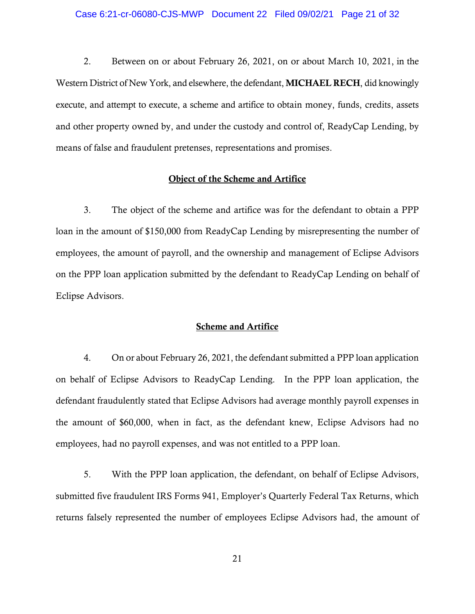2. Between on or about February 26, 2021, on or about March 10, 2021, in the Western District of New York, and elsewhere, the defendant, MICHAEL RECH, did knowingly execute, and attempt to execute, a scheme and artifice to obtain money, funds, credits, assets and other property owned by, and under the custody and control of, ReadyCap Lending, by means of false and fraudulent pretenses, representations and promises.

# Object of the Scheme and Artifice

3. The object of the scheme and artifice was for the defendant to obtain a PPP loan in the amount of \$150,000 from ReadyCap Lending by misrepresenting the number of employees, the amount of payroll, and the ownership and management of Eclipse Advisors on the PPP loan application submitted by the defendant to ReadyCap Lending on behalf of Eclipse Advisors.

### Scheme and Artifice

4. On or about February 26, 2021, the defendant submitted a PPP loan application on behalf of Eclipse Advisors to ReadyCap Lending. In the PPP loan application, the defendant fraudulently stated that Eclipse Advisors had average monthly payroll expenses in the amount of \$60,000, when in fact, as the defendant knew, Eclipse Advisors had no employees, had no payroll expenses, and was not entitled to a PPP loan.

5. With the PPP loan application, the defendant, on behalf of Eclipse Advisors, submitted five fraudulent IRS Forms 941, Employer's Quarterly Federal Tax Returns, which returns falsely represented the number of employees Eclipse Advisors had, the amount of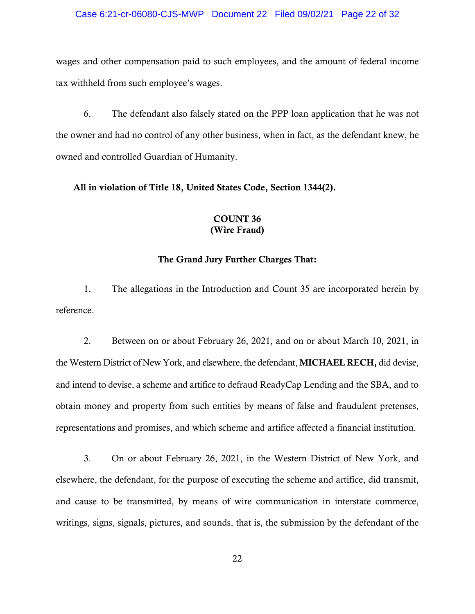wages and other compensation paid to such employees, and the amount of federal income tax withheld from such employee's wages.

6. The defendant also falsely stated on the PPP loan application that he was not the owner and had no control of any other business, when in fact, as the defendant knew, he owned and controlled Guardian of Humanity.

All in violation of Title 18, United States Code, Section 1344(2).

### COUNT 36 (Wire Fraud)

#### The Grand Jury Further Charges That:

1. The allegations in the Introduction and Count 35 are incorporated herein by reference.

2. Between on or about February 26, 2021, and on or about March 10, 2021, in the Western District of New York, and elsewhere, the defendant, MICHAEL RECH, did devise, and intend to devise, a scheme and artifice to defraud ReadyCap Lending and the SBA, and to obtain money and property from such entities by means of false and fraudulent pretenses, representations and promises, and which scheme and artifice affected a financial institution.

3. On or about February 26, 2021, in the Western District of New York, and elsewhere, the defendant, for the purpose of executing the scheme and artifice, did transmit, and cause to be transmitted, by means of wire communication in interstate commerce, writings, signs, signals, pictures, and sounds, that is, the submission by the defendant of the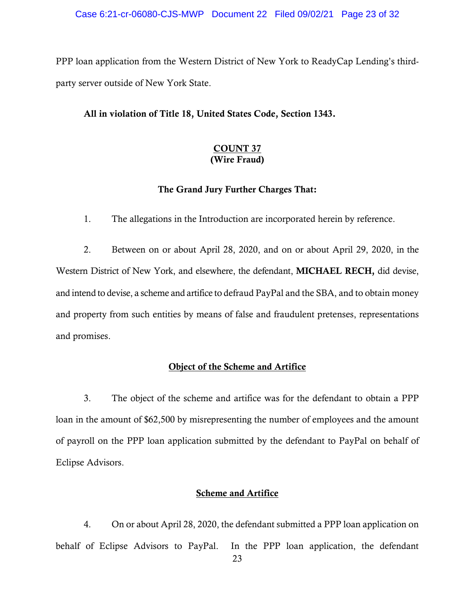PPP loan application from the Western District of New York to ReadyCap Lending's thirdparty server outside of New York State.

#### All in violation of Title 18, United States Code, Section 1343.

# COUNT 37 (Wire Fraud)

# The Grand Jury Further Charges That:

1. The allegations in the Introduction are incorporated herein by reference.

2. Between on or about April 28, 2020, and on or about April 29, 2020, in the Western District of New York, and elsewhere, the defendant, MICHAEL RECH, did devise, and intend to devise, a scheme and artifice to defraud PayPal and the SBA, and to obtain money and property from such entities by means of false and fraudulent pretenses, representations and promises.

# Object of the Scheme and Artifice

3. The object of the scheme and artifice was for the defendant to obtain a PPP loan in the amount of \$62,500 by misrepresenting the number of employees and the amount of payroll on the PPP loan application submitted by the defendant to PayPal on behalf of Eclipse Advisors.

#### Scheme and Artifice

4. On or about April 28, 2020, the defendant submitted a PPP loan application on behalf of Eclipse Advisors to PayPal. In the PPP loan application, the defendant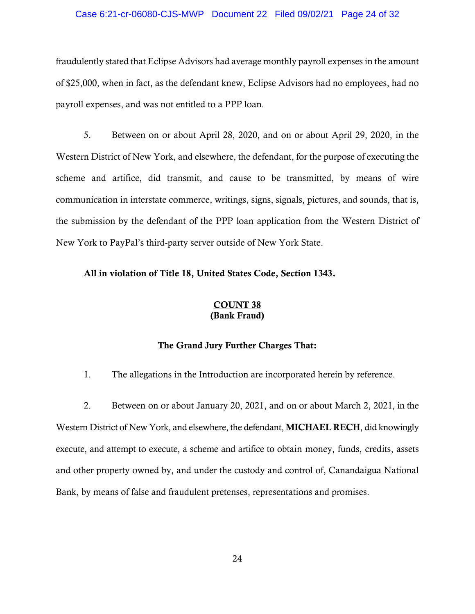#### Case 6:21-cr-06080-CJS-MWP Document 22 Filed 09/02/21 Page 24 of 32

fraudulently stated that Eclipse Advisors had average monthly payroll expenses in the amount of \$25,000, when in fact, as the defendant knew, Eclipse Advisors had no employees, had no payroll expenses, and was not entitled to a PPP loan.

5. Between on or about April 28, 2020, and on or about April 29, 2020, in the Western District of New York, and elsewhere, the defendant, for the purpose of executing the scheme and artifice, did transmit, and cause to be transmitted, by means of wire communication in interstate commerce, writings, signs, signals, pictures, and sounds, that is, the submission by the defendant of the PPP loan application from the Western District of New York to PayPal's third-party server outside of New York State.

# All in violation of Title 18, United States Code, Section 1343.

### COUNT 38 (Bank Fraud)

# The Grand Jury Further Charges That:

1. The allegations in the Introduction are incorporated herein by reference.

2. Between on or about January 20, 2021, and on or about March 2, 2021, in the Western District of New York, and elsewhere, the defendant, **MICHAEL RECH**, did knowingly execute, and attempt to execute, a scheme and artifice to obtain money, funds, credits, assets and other property owned by, and under the custody and control of, Canandaigua National Bank, by means of false and fraudulent pretenses, representations and promises.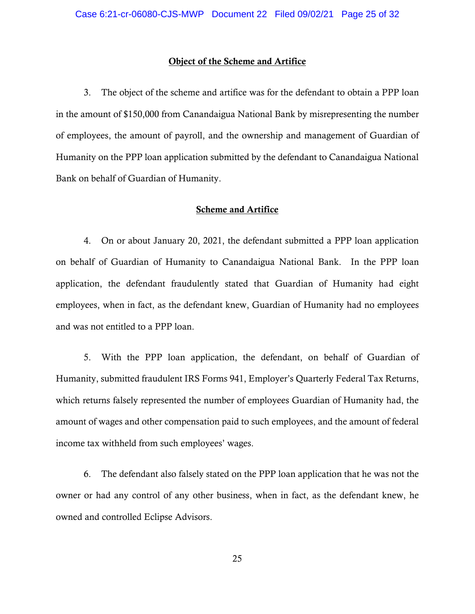#### Object of the Scheme and Artifice

3. The object of the scheme and artifice was for the defendant to obtain a PPP loan in the amount of \$150,000 from Canandaigua National Bank by misrepresenting the number of employees, the amount of payroll, and the ownership and management of Guardian of Humanity on the PPP loan application submitted by the defendant to Canandaigua National Bank on behalf of Guardian of Humanity.

### Scheme and Artifice

4. On or about January 20, 2021, the defendant submitted a PPP loan application on behalf of Guardian of Humanity to Canandaigua National Bank. In the PPP loan application, the defendant fraudulently stated that Guardian of Humanity had eight employees, when in fact, as the defendant knew, Guardian of Humanity had no employees and was not entitled to a PPP loan.

5. With the PPP loan application, the defendant, on behalf of Guardian of Humanity, submitted fraudulent IRS Forms 941, Employer's Quarterly Federal Tax Returns, which returns falsely represented the number of employees Guardian of Humanity had, the amount of wages and other compensation paid to such employees, and the amount of federal income tax withheld from such employees' wages.

6. The defendant also falsely stated on the PPP loan application that he was not the owner or had any control of any other business, when in fact, as the defendant knew, he owned and controlled Eclipse Advisors.

25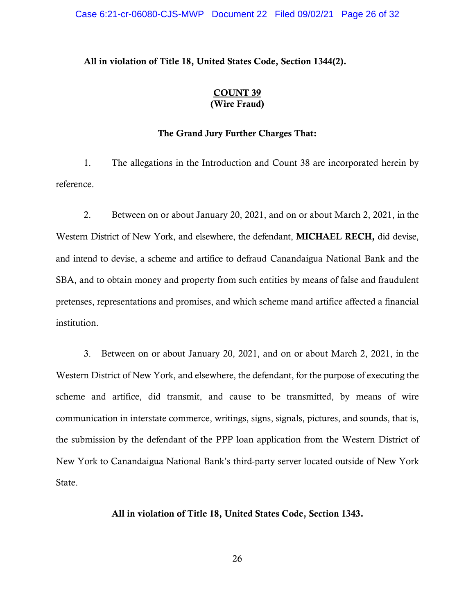# All in violation of Title 18, United States Code, Section 1344(2).

### COUNT 39 (Wire Fraud)

### The Grand Jury Further Charges That:

1. The allegations in the Introduction and Count 38 are incorporated herein by reference.

2. Between on or about January 20, 2021, and on or about March 2, 2021, in the Western District of New York, and elsewhere, the defendant, MICHAEL RECH, did devise, and intend to devise, a scheme and artifice to defraud Canandaigua National Bank and the SBA, and to obtain money and property from such entities by means of false and fraudulent pretenses, representations and promises, and which scheme mand artifice affected a financial institution.

3. Between on or about January 20, 2021, and on or about March 2, 2021, in the Western District of New York, and elsewhere, the defendant, for the purpose of executing the scheme and artifice, did transmit, and cause to be transmitted, by means of wire communication in interstate commerce, writings, signs, signals, pictures, and sounds, that is, the submission by the defendant of the PPP loan application from the Western District of New York to Canandaigua National Bank's third-party server located outside of New York State.

#### All in violation of Title 18, United States Code, Section 1343.

26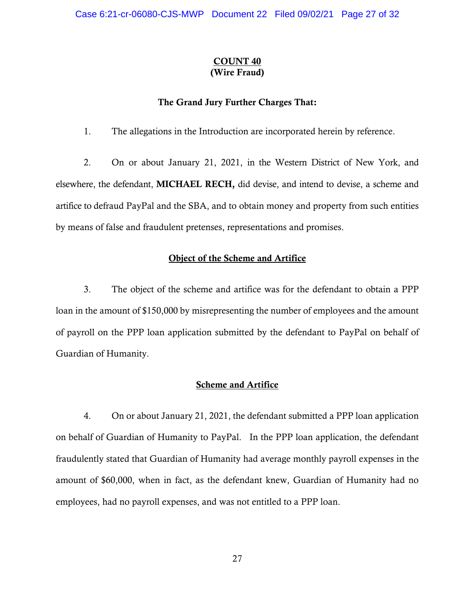# COUNT 40 (Wire Fraud)

### The Grand Jury Further Charges That:

1. The allegations in the Introduction are incorporated herein by reference.

2. On or about January 21, 2021, in the Western District of New York, and elsewhere, the defendant, MICHAEL RECH, did devise, and intend to devise, a scheme and artifice to defraud PayPal and the SBA, and to obtain money and property from such entities by means of false and fraudulent pretenses, representations and promises.

## Object of the Scheme and Artifice

3. The object of the scheme and artifice was for the defendant to obtain a PPP loan in the amount of \$150,000 by misrepresenting the number of employees and the amount of payroll on the PPP loan application submitted by the defendant to PayPal on behalf of Guardian of Humanity.

### Scheme and Artifice

4. On or about January 21, 2021, the defendant submitted a PPP loan application on behalf of Guardian of Humanity to PayPal. In the PPP loan application, the defendant fraudulently stated that Guardian of Humanity had average monthly payroll expenses in the amount of \$60,000, when in fact, as the defendant knew, Guardian of Humanity had no employees, had no payroll expenses, and was not entitled to a PPP loan.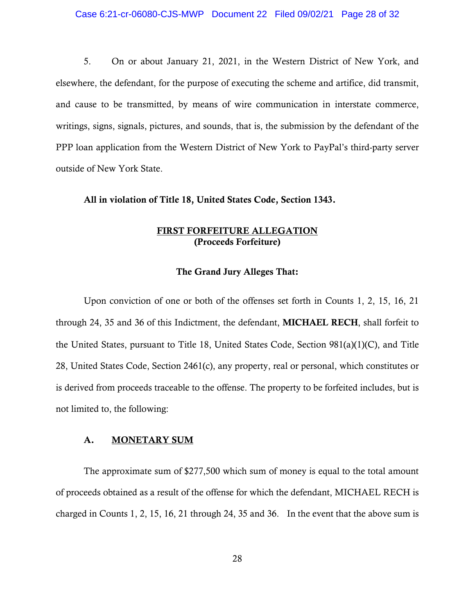5. On or about January 21, 2021, in the Western District of New York, and elsewhere, the defendant, for the purpose of executing the scheme and artifice, did transmit, and cause to be transmitted, by means of wire communication in interstate commerce, writings, signs, signals, pictures, and sounds, that is, the submission by the defendant of the PPP loan application from the Western District of New York to PayPal's third-party server outside of New York State.

#### All in violation of Title 18, United States Code, Section 1343.

# FIRST FORFEITURE ALLEGATION (Proceeds Forfeiture)

#### The Grand Jury Alleges That:

Upon conviction of one or both of the offenses set forth in Counts 1, 2, 15, 16, 21 through 24, 35 and 36 of this Indictment, the defendant, MICHAEL RECH, shall forfeit to the United States, pursuant to Title 18, United States Code, Section 981(a)(1)(C), and Title 28, United States Code, Section 2461(c), any property, real or personal, which constitutes or is derived from proceeds traceable to the offense. The property to be forfeited includes, but is not limited to, the following:

#### A. MONETARY SUM

The approximate sum of \$277,500 which sum of money is equal to the total amount of proceeds obtained as a result of the offense for which the defendant, MICHAEL RECH is charged in Counts 1, 2, 15, 16, 21 through 24, 35 and 36. In the event that the above sum is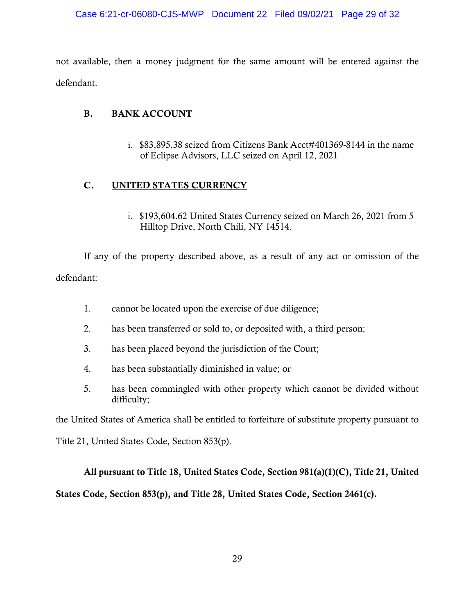not available, then a money judgment for the same amount will be entered against the defendant.

# B. BANK ACCOUNT

i. \$83,895.38 seized from Citizens Bank Acct#401369-8144 in the name of Eclipse Advisors, LLC seized on April 12, 2021

# C. UNITED STATES CURRENCY

i. \$193,604.62 United States Currency seized on March 26, 2021 from 5 Hilltop Drive, North Chili, NY 14514.

If any of the property described above, as a result of any act or omission of the defendant:

- 1. cannot be located upon the exercise of due diligence;
- 2. has been transferred or sold to, or deposited with, a third person;
- 3. has been placed beyond the jurisdiction of the Court;
- 4. has been substantially diminished in value; or
- 5. has been commingled with other property which cannot be divided without difficulty;

the United States of America shall be entitled to forfeiture of substitute property pursuant to

Title 21, United States Code, Section 853(p).

# All pursuant to Title 18, United States Code, Section 981(a)(1)(C), Title 21, United

# States Code, Section 853(p), and Title 28, United States Code, Section 2461(c).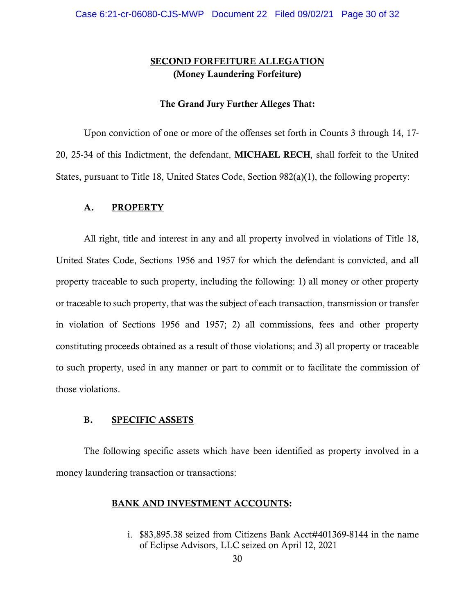# SECOND FORFEITURE ALLEGATION (Money Laundering Forfeiture)

#### The Grand Jury Further Alleges That:

Upon conviction of one or more of the offenses set forth in Counts 3 through 14, 17- 20, 25-34 of this Indictment, the defendant, MICHAEL RECH, shall forfeit to the United States, pursuant to Title 18, United States Code, Section 982(a)(1), the following property:

#### A. PROPERTY

All right, title and interest in any and all property involved in violations of Title 18, United States Code, Sections 1956 and 1957 for which the defendant is convicted, and all property traceable to such property, including the following: 1) all money or other property or traceable to such property, that was the subject of each transaction, transmission or transfer in violation of Sections 1956 and 1957; 2) all commissions, fees and other property constituting proceeds obtained as a result of those violations; and 3) all property or traceable to such property, used in any manner or part to commit or to facilitate the commission of those violations.

#### B. SPECIFIC ASSETS

The following specific assets which have been identified as property involved in a money laundering transaction or transactions:

#### BANK AND INVESTMENT ACCOUNTS:

i. \$83,895.38 seized from Citizens Bank Acct#401369-8144 in the name of Eclipse Advisors, LLC seized on April 12, 2021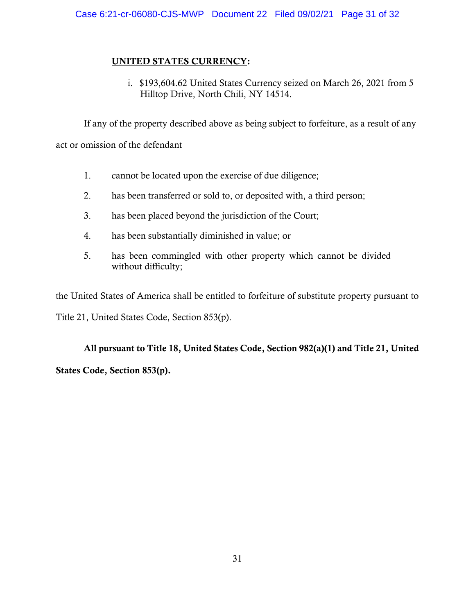# UNITED STATES CURRENCY:

i. \$193,604.62 United States Currency seized on March 26, 2021 from 5 Hilltop Drive, North Chili, NY 14514.

If any of the property described above as being subject to forfeiture, as a result of any act or omission of the defendant

- 1. cannot be located upon the exercise of due diligence;
- 2. has been transferred or sold to, or deposited with, a third person;
- 3. has been placed beyond the jurisdiction of the Court;
- 4. has been substantially diminished in value; or
- 5. has been commingled with other property which cannot be divided without difficulty;

the United States of America shall be entitled to forfeiture of substitute property pursuant to Title 21, United States Code, Section 853(p).

All pursuant to Title 18, United States Code, Section 982(a)(1) and Title 21, United States Code, Section 853(p).